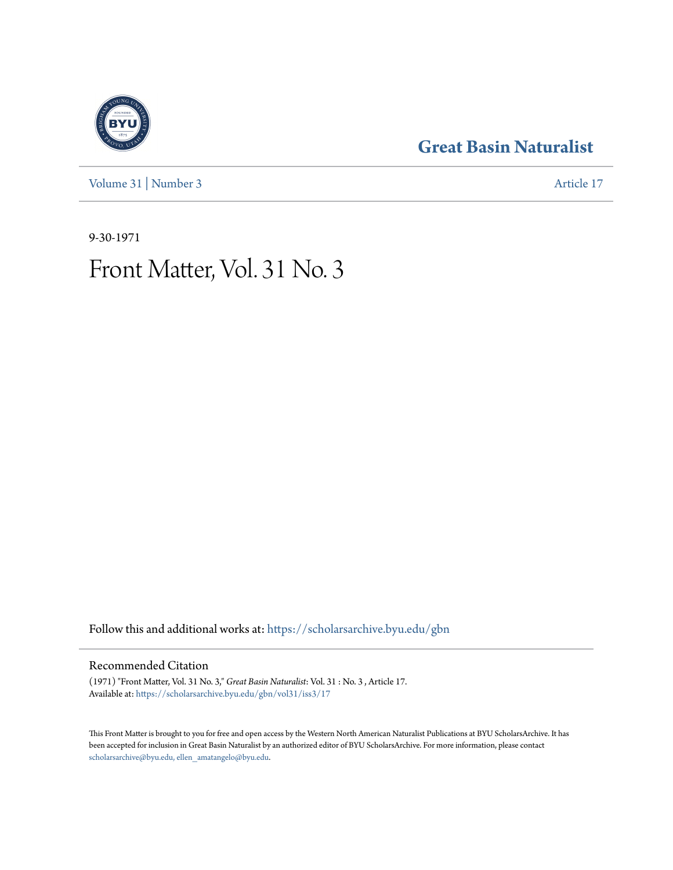[Volume 31](https://scholarsarchive.byu.edu/gbn/vol31?utm_source=scholarsarchive.byu.edu%2Fgbn%2Fvol31%2Fiss3%2F17&utm_medium=PDF&utm_campaign=PDFCoverPages) | [Number 3](https://scholarsarchive.byu.edu/gbn/vol31/iss3?utm_source=scholarsarchive.byu.edu%2Fgbn%2Fvol31%2Fiss3%2F17&utm_medium=PDF&utm_campaign=PDFCoverPages) [Article 17](https://scholarsarchive.byu.edu/gbn/vol31/iss3/17?utm_source=scholarsarchive.byu.edu%2Fgbn%2Fvol31%2Fiss3%2F17&utm_medium=PDF&utm_campaign=PDFCoverPages)

### **[Great Basin Naturalist](https://scholarsarchive.byu.edu/gbn?utm_source=scholarsarchive.byu.edu%2Fgbn%2Fvol31%2Fiss3%2F17&utm_medium=PDF&utm_campaign=PDFCoverPages)**

9-30-1971

## Front Matter, Vol. 31 No. 3

Follow this and additional works at: [https://scholarsarchive.byu.edu/gbn](https://scholarsarchive.byu.edu/gbn?utm_source=scholarsarchive.byu.edu%2Fgbn%2Fvol31%2Fiss3%2F17&utm_medium=PDF&utm_campaign=PDFCoverPages)

#### Recommended Citation

(1971) "Front Matter, Vol. 31 No. 3," *Great Basin Naturalist*: Vol. 31 : No. 3 , Article 17. Available at: [https://scholarsarchive.byu.edu/gbn/vol31/iss3/17](https://scholarsarchive.byu.edu/gbn/vol31/iss3/17?utm_source=scholarsarchive.byu.edu%2Fgbn%2Fvol31%2Fiss3%2F17&utm_medium=PDF&utm_campaign=PDFCoverPages)

This Front Matter is brought to you for free and open access by the Western North American Naturalist Publications at BYU ScholarsArchive. It has been accepted for inclusion in Great Basin Naturalist by an authorized editor of BYU ScholarsArchive. For more information, please contact [scholarsarchive@byu.edu, ellen\\_amatangelo@byu.edu.](mailto:scholarsarchive@byu.edu,%20ellen_amatangelo@byu.edu)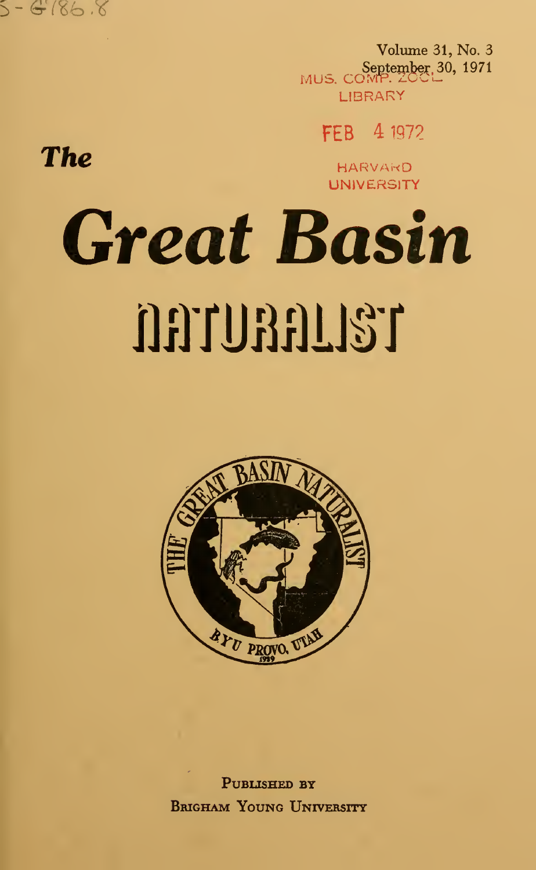$5 - G(86.8)$ 

The

Volume 31, No. 3 September, 30, 1971<br>MUS. COMP. 2001 LIBRARY

FFB 4 1972

HARVAHO **UNIVERSITY** 

# Great Basin ntunnillst



PUBLISHED BY BRIGHAM YOUNG UNIVERSITY